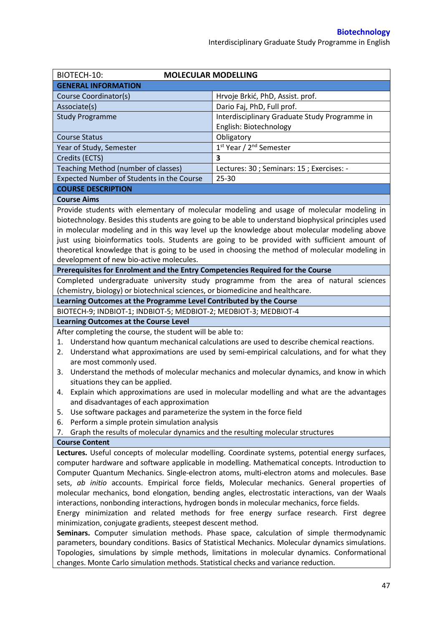| BIOTECH-10:<br><b>MOLECULAR MODELLING</b>                                                                                                                                                       |                                                                                                     |  |  |  |
|-------------------------------------------------------------------------------------------------------------------------------------------------------------------------------------------------|-----------------------------------------------------------------------------------------------------|--|--|--|
| <b>GENERAL INFORMATION</b>                                                                                                                                                                      |                                                                                                     |  |  |  |
| Course Coordinator(s)                                                                                                                                                                           | Hrvoje Brkić, PhD, Assist. prof.                                                                    |  |  |  |
| Associate(s)                                                                                                                                                                                    | Dario Faj, PhD, Full prof.                                                                          |  |  |  |
| <b>Study Programme</b>                                                                                                                                                                          | Interdisciplinary Graduate Study Programme in                                                       |  |  |  |
|                                                                                                                                                                                                 | English: Biotechnology                                                                              |  |  |  |
| <b>Course Status</b>                                                                                                                                                                            | Obligatory                                                                                          |  |  |  |
| Year of Study, Semester                                                                                                                                                                         | 1st Year / 2 <sup>nd</sup> Semester                                                                 |  |  |  |
| Credits (ECTS)                                                                                                                                                                                  | 3                                                                                                   |  |  |  |
| Teaching Method (number of classes)                                                                                                                                                             | Lectures: 30 ; Seminars: 15 ; Exercises: -                                                          |  |  |  |
| Expected Number of Students in the Course                                                                                                                                                       | 25-30                                                                                               |  |  |  |
| <b>COURSE DESCRIPTION</b>                                                                                                                                                                       |                                                                                                     |  |  |  |
| <b>Course Aims</b>                                                                                                                                                                              |                                                                                                     |  |  |  |
|                                                                                                                                                                                                 | Provide students with elementary of molecular modeling and usage of molecular modeling in           |  |  |  |
|                                                                                                                                                                                                 | biotechnology. Besides this students are going to be able to understand biophysical principles used |  |  |  |
|                                                                                                                                                                                                 | in molecular modeling and in this way level up the knowledge about molecular modeling above         |  |  |  |
|                                                                                                                                                                                                 | just using bioinformatics tools. Students are going to be provided with sufficient amount of        |  |  |  |
|                                                                                                                                                                                                 | theoretical knowledge that is going to be used in choosing the method of molecular modeling in      |  |  |  |
| development of new bio-active molecules.                                                                                                                                                        |                                                                                                     |  |  |  |
| Prerequisites for Enrolment and the Entry Competencies Required for the Course                                                                                                                  |                                                                                                     |  |  |  |
|                                                                                                                                                                                                 | Completed undergraduate university study programme from the area of natural sciences                |  |  |  |
| (chemistry, biology) or biotechnical sciences, or biomedicine and healthcare.                                                                                                                   |                                                                                                     |  |  |  |
| Learning Outcomes at the Programme Level Contributed by the Course<br>BIOTECH-9; INDBIOT-1; INDBIOT-5; MEDBIOT-2; MEDBIOT-3; MEDBIOT-4                                                          |                                                                                                     |  |  |  |
| <b>Learning Outcomes at the Course Level</b>                                                                                                                                                    |                                                                                                     |  |  |  |
| After completing the course, the student will be able to:                                                                                                                                       |                                                                                                     |  |  |  |
| Understand how quantum mechanical calculations are used to describe chemical reactions.<br>1.                                                                                                   |                                                                                                     |  |  |  |
| Understand what approximations are used by semi-empirical calculations, and for what they<br>2.                                                                                                 |                                                                                                     |  |  |  |
| are most commonly used.                                                                                                                                                                         |                                                                                                     |  |  |  |
| Understand the methods of molecular mechanics and molecular dynamics, and know in which<br>3.                                                                                                   |                                                                                                     |  |  |  |
| situations they can be applied.                                                                                                                                                                 |                                                                                                     |  |  |  |
| 4. Explain which approximations are used in molecular modelling and what are the advantages                                                                                                     |                                                                                                     |  |  |  |
| and disadvantages of each approximation                                                                                                                                                         |                                                                                                     |  |  |  |
| Use software packages and parameterize the system in the force field<br>5.                                                                                                                      |                                                                                                     |  |  |  |
| Perform a simple protein simulation analysis<br>6.                                                                                                                                              |                                                                                                     |  |  |  |
| Graph the results of molecular dynamics and the resulting molecular structures<br>7.                                                                                                            |                                                                                                     |  |  |  |
| <b>Course Content</b>                                                                                                                                                                           |                                                                                                     |  |  |  |
| Lectures. Useful concepts of molecular modelling. Coordinate systems, potential energy surfaces,                                                                                                |                                                                                                     |  |  |  |
| computer hardware and software applicable in modelling. Mathematical concepts. Introduction to                                                                                                  |                                                                                                     |  |  |  |
| Computer Quantum Mechanics. Single-electron atoms, multi-electron atoms and molecules. Base                                                                                                     |                                                                                                     |  |  |  |
| sets, ab initio accounts. Empirical force fields, Molecular mechanics. General properties of<br>molecular mechanics, bond elongation, bending angles, electrostatic interactions, van der Waals |                                                                                                     |  |  |  |
| interactions, nonbonding interactions, hydrogen bonds in molecular mechanics, force fields.                                                                                                     |                                                                                                     |  |  |  |
| Energy minimization and related methods for free energy surface research. First degree                                                                                                          |                                                                                                     |  |  |  |
| minimization, conjugate gradients, steepest descent method.                                                                                                                                     |                                                                                                     |  |  |  |
| Seminars. Computer simulation methods. Phase space, calculation of simple thermodynamic                                                                                                         |                                                                                                     |  |  |  |
| parameters, boundary conditions. Basics of Statistical Mechanics. Molecular dynamics simulations.                                                                                               |                                                                                                     |  |  |  |

Topologies, simulations by simple methods, limitations in molecular dynamics. Conformational changes. Monte Carlo simulation methods. Statistical checks and variance reduction.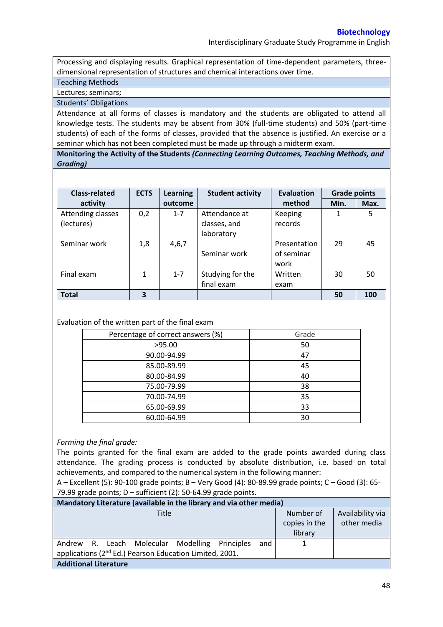Interdisciplinary Graduate Study Programme in English

Processing and displaying results. Graphical representation of time-dependent parameters, threedimensional representation of structures and chemical interactions over time.

Teaching Methods

Lectures; seminars;

Students' Obligations

Attendance at all forms of classes is mandatory and the students are obligated to attend all knowledge tests. The students may be absent from 30% (full-time students) and 50% (part-time students) of each of the forms of classes, provided that the absence is justified. An exercise or a seminar which has not been completed must be made up through a midterm exam.

**Monitoring the Activity of the Students** *(Connecting Learning Outcomes, Teaching Methods, and Grading)*

| <b>Class-related</b> | <b>ECTS</b> | Learning | <b>Student activity</b> | Evaluation   | <b>Grade points</b> |      |
|----------------------|-------------|----------|-------------------------|--------------|---------------------|------|
| activity             |             | outcome  |                         | method       | Min.                | Max. |
| Attending classes    | 0,2         | $1 - 7$  | Attendance at           | Keeping      | 1                   | 5    |
| (lectures)           |             |          | classes, and            | records      |                     |      |
|                      |             |          | laboratory              |              |                     |      |
| Seminar work         | 1,8         | 4,6,7    |                         | Presentation | 29                  | 45   |
|                      |             |          | Seminar work            | of seminar   |                     |      |
|                      |             |          |                         | work         |                     |      |
| Final exam           | 1           | $1 - 7$  | Studying for the        | Written      | 30                  | 50   |
|                      |             |          | final exam              | exam         |                     |      |
| <b>Total</b>         | 3           |          |                         |              | 50                  | 100  |

## Evaluation of the written part of the final exam

| Percentage of correct answers (%) | Grade |
|-----------------------------------|-------|
| >95.00                            | 50    |
| 90.00-94.99                       | 47    |
| 85.00-89.99                       | 45    |
| 80.00-84.99                       | 40    |
| 75.00-79.99                       | 38    |
| 70.00-74.99                       | 35    |
| 65.00-69.99                       | 33    |
| 60.00-64.99                       | 30    |

## *Forming the final grade:*

The points granted for the final exam are added to the grade points awarded during class attendance. The grading process is conducted by absolute distribution, i.e. based on total achievements, and compared to the numerical system in the following manner:

A – Excellent (5): 90-100 grade points; B – Very Good (4): 80-89.99 grade points; C – Good (3): 65- 79.99 grade points;  $D$  – sufficient (2): 50-64.99 grade points.

| Mandatory Literature (available in the library and via other media) |                                       |                                 |  |  |  |  |  |
|---------------------------------------------------------------------|---------------------------------------|---------------------------------|--|--|--|--|--|
| Title                                                               | Number of<br>copies in the<br>library | Availability via<br>other media |  |  |  |  |  |
| Andrew R. Leach Molecular Modelling<br>Principles<br>and I          |                                       |                                 |  |  |  |  |  |
| applications (2 <sup>nd</sup> Ed.) Pearson Education Limited, 2001. |                                       |                                 |  |  |  |  |  |
| <b>Additional Literature</b>                                        |                                       |                                 |  |  |  |  |  |